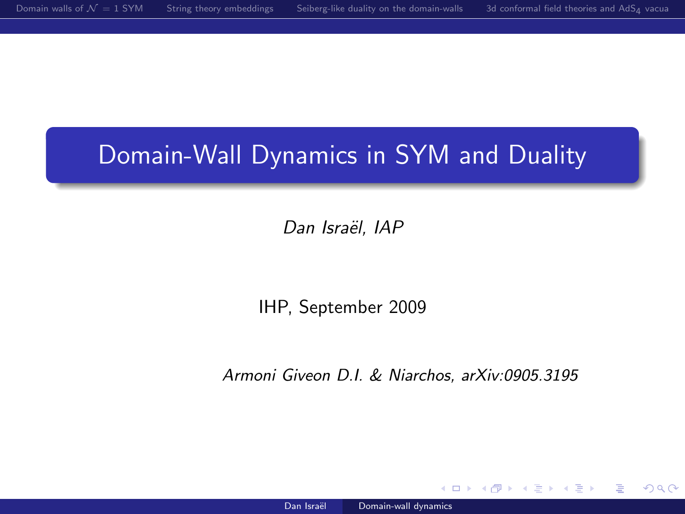# Domain-Wall Dynamics in SYM and Duality

Dan Israël, IAP

IHP, September 2009

Armoni Giveon D.I. & Niarchos, arXiv:0905.3195

∢ロト (何) (ヨ) (ヨ)

<span id="page-0-0"></span>目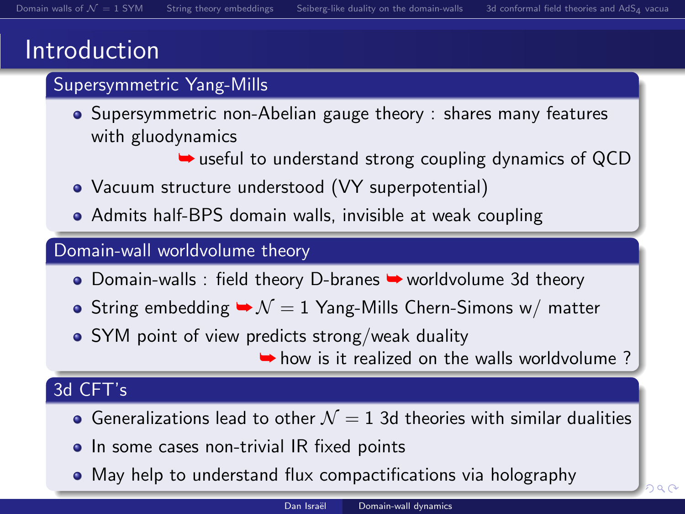## Introduction

### Supersymmetric Yang-Mills

- Supersymmetric non-Abelian gauge theory : shares many features with gluodynamics
	- $\rightarrow$  useful to understand strong coupling dynamics of QCD
- Vacuum structure understood (VY superpotential)
- Admits half-BPS domain walls, invisible at weak coupling

#### Domain-wall worldvolume theory

- Domain-walls : field theory D-branes ➡ worldvolume 3d theory
- String embedding  $\blacktriangleright \mathcal{N} = 1$  Yang-Mills Chern-Simons w/ matter
- SYM point of view predicts strong/weak duality

<span id="page-1-0"></span> $\rightarrow$  how is it realized on the walls worldvolume?

### 3d CFT's

- Generalizations lead to other  $\mathcal{N} = 1$  3d theories with similar dualities
- In some cases non-trivial IR fixed points
- May help to understand flux compactificati[ons](#page-0-0) [vi](#page-2-0)[a](#page-0-0) [ho](#page-1-0)[l](#page-2-0)[ogr](#page-0-0)[a](#page-2-0)[p](#page-3-0)[hy](#page-0-0)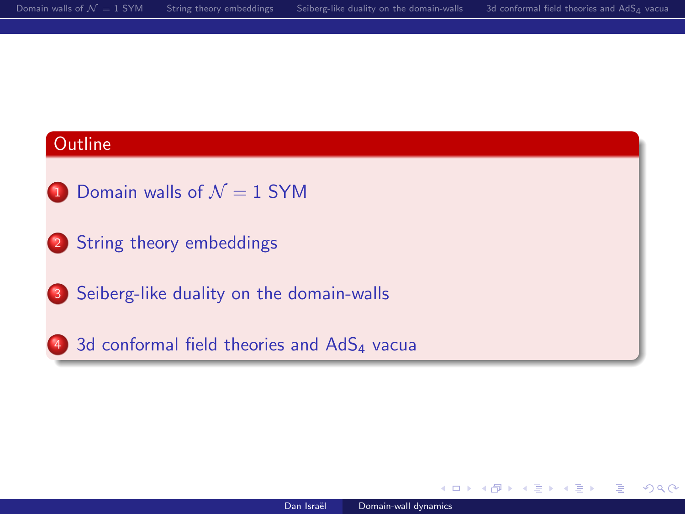#### **Outline**



- <sup>2</sup> [String theory embeddings](#page-6-0)
- <sup>3</sup> [Seiberg-like duality on the domain-walls](#page-11-0)
- 4 [3d conformal field theories and AdS](#page-20-0)<sub>4</sub> vacua

イロト イ押ト イヨト イヨト

<span id="page-2-0"></span> $299$ 障害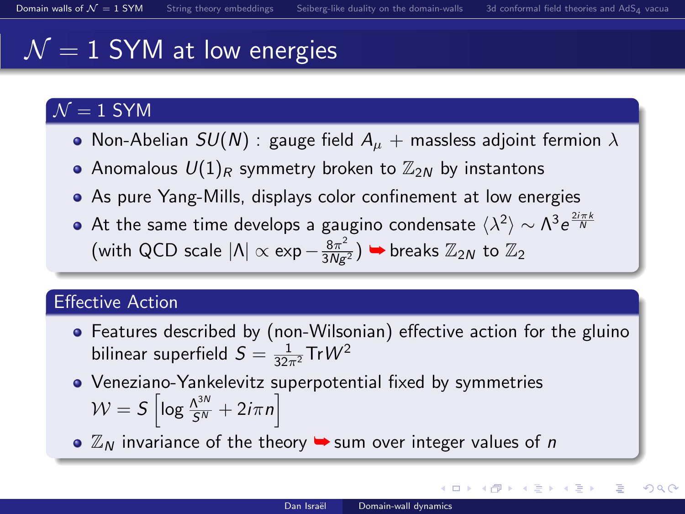イロメ イ押メ イヨメ イヨメー

目

<span id="page-3-0"></span> $QQ$ 

# $\mathcal{N} = 1$  SYM at low energies.

## $\mathcal{N}=1$  SYM

- Non-Abelian  $SU(N)$  : gauge field  $A_\mu$  + massless adjoint fermion  $\lambda$
- Anomalous  $U(1)_R$  symmetry broken to  $\mathbb{Z}_{2N}$  by instantons
- As pure Yang-Mills, displays color confinement at low energies
- At the same time develops a gaugino condensate  $\langle \lambda^2 \rangle \sim \Lambda^3 e^{\frac{2 i \pi k}{N}}$ (with QCD scale  $|\Lambda| \propto \exp{-\frac{8\pi^2}{3Ng^2}}$ )  $\rightarrow$  breaks  $\mathbb{Z}_{2N}$  to  $\mathbb{Z}_2$

#### Effective Action

- Features described by (non-Wilsonian) effective action for the gluino bilinear superfield  $S = \frac{1}{32\pi^2} \text{Tr} W^2$
- Veneziano-Yankelevitz superpotential fixed by symmetries  $\mathcal{W} = \mathcal{S} \left[ \log \frac{\Lambda^{3N}}{\mathcal{S}^N} + 2i\pi n \right]$
- $\bullet$   $\mathbb{Z}_N$  invariance of the theory  $\bullet$  sum over integer values of n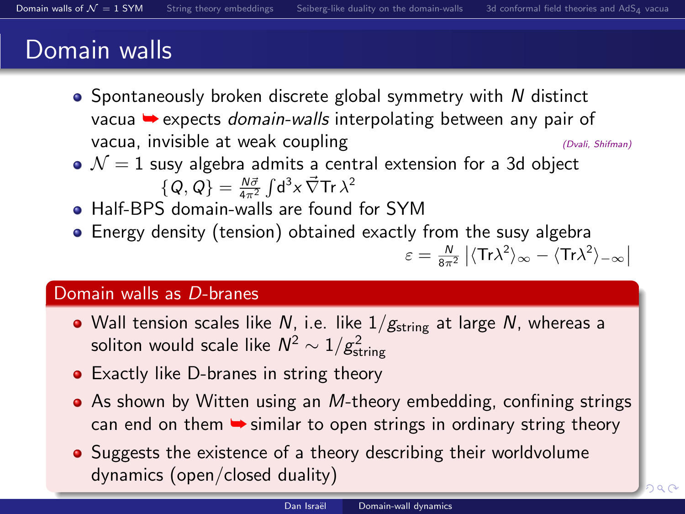## Domain walls

- $\bullet$  Spontaneously broken discrete global symmetry with N distinct vacua ➥ expects domain-walls interpolating between any pair of vacua, invisible at weak coupling  $(D_{vali, Shifman})$
- $\bullet$   $\mathcal{N}=1$  susy algebra admits a central extension for a 3d object  $\{\boldsymbol{Q},\boldsymbol{Q}\}=\frac{N\vec{\sigma}}{4\pi^2}\int\!\mathsf{d}^3\mathsf{x}\,\vec{\nabla}\mathsf{Tr}\,\lambda^2$
- Half-BPS domain-walls are found for SYM
- Energy density (tension) obtained exactly from the susy algebra  $\varepsilon = \frac{N}{8\pi^2} \left| \langle \text{Tr}\lambda^2 \rangle_{\infty} - \langle \text{Tr}\lambda^2 \rangle_{-\infty} \right|$

#### Domain walls as D-branes

- Wall tension scales like N, i.e. like  $1/g_{\text{string}}$  at large N, whereas a soliton would scale like  $\mathcal{N}^2 \sim 1/g_{\text{string}}^2$
- Exactly like D-branes in string theory
- $\bullet$  As shown by Witten using an *M*-theory embedding, confining strings can end on them  $\rightarrow$  similar to open strings in ordinary string theory
- Suggests the existence of a theory describing their worldvolume dynamics (open/closed duality)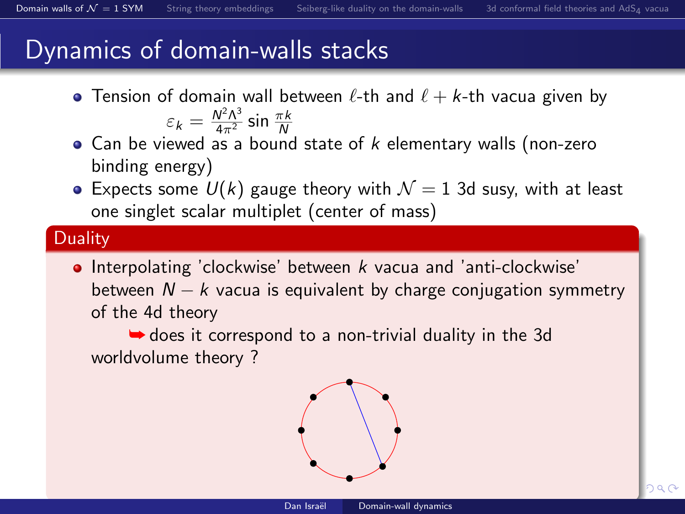## Dynamics of domain-walls stacks

- Tension of domain wall between  $\ell$ -th and  $\ell + k$ -th vacua given by  $\varepsilon_k = \frac{N^2 \Lambda^3}{4 \pi^2} \sin \frac{\pi k}{N}$
- $\bullet$  Can be viewed as a bound state of  $k$  elementary walls (non-zero binding energy)
- Expects some  $U(k)$  gauge theory with  $\mathcal{N}=1$  3d susy, with at least one singlet scalar multiplet (center of mass)

### **Duality**

 $\bullet$  Interpolating 'clockwise' between k vacua and 'anti-clockwise' between  $N - k$  vacua is equivalent by charge conjugation symmetry of the 4d theory

 $\rightarrow$  does it correspond to a non-trivial duality in the 3d worldvolume theory ?

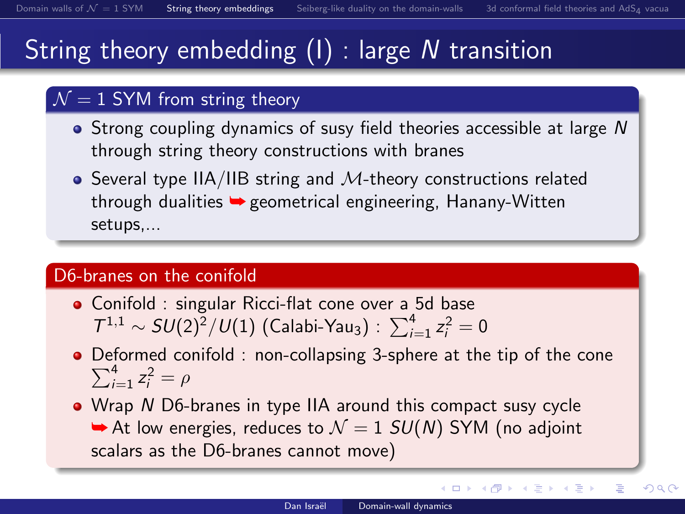イロト イ押ト イヨト イヨト

 $299$ 

<span id="page-6-0"></span>目

# String theory embedding  $(I)$  : large  $\overline{N}$  transition

### $\mathcal{N} = 1$  SYM from string theory

- Strong coupling dynamics of susy field theories accessible at large N through string theory constructions with branes
- Several type IIA/IIB string and  $M$ -theory constructions related through dualities ➥ geometrical engineering, Hanany-Witten setups,...

#### D6-branes on the conifold

- Conifold : singular Ricci-flat cone over a 5d base  $T^{1,1} \sim SU(2)^2 / U(1)$  (Calabi-Yau<sub>3</sub>) :  $\sum_{i=1}^{4} z_i^2 = 0$
- Deformed conifold : non-collapsing 3-sphere at the tip of the cone  $\sum_{i=1}^{4} z_i^2 = \rho$
- Wrap N D6-branes in type IIA around this compact susy cycle  $\rightarrow$  At low energies, reduces to  $\mathcal{N} = 1$  SU(N) SYM (no adjoint scalars as the D6-branes cannot move)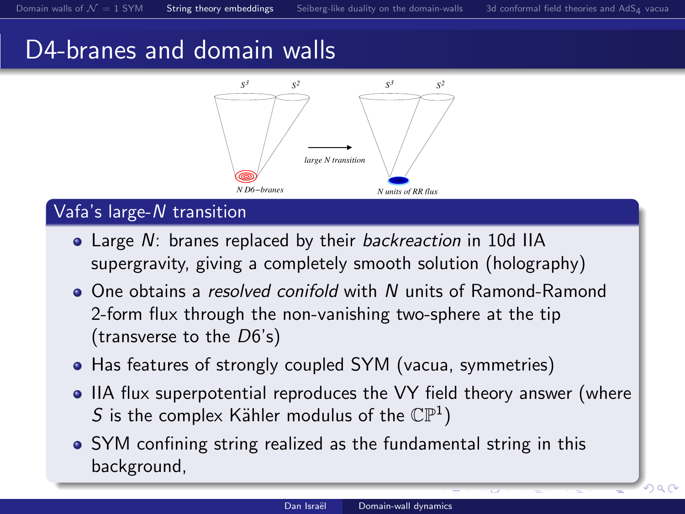# D4-branes and domain walls



### Vafa's large-N transition

- Large N: branes replaced by their *backreaction* in 10d IIA supergravity, giving a completely smooth solution (holography)
- One obtains a resolved conifold with N units of Ramond-Ramond 2-form flux through the non-vanishing two-sphere at the tip (transverse to the D6's)
- Has features of strongly coupled SYM (vacua, symmetries)
- IIA flux superpotential reproduces the VY field theory answer (where S is the complex Kähler modulus of the  $\mathbb{CP}^1$ )
- SYM confining string realized as the fundamental string in this background,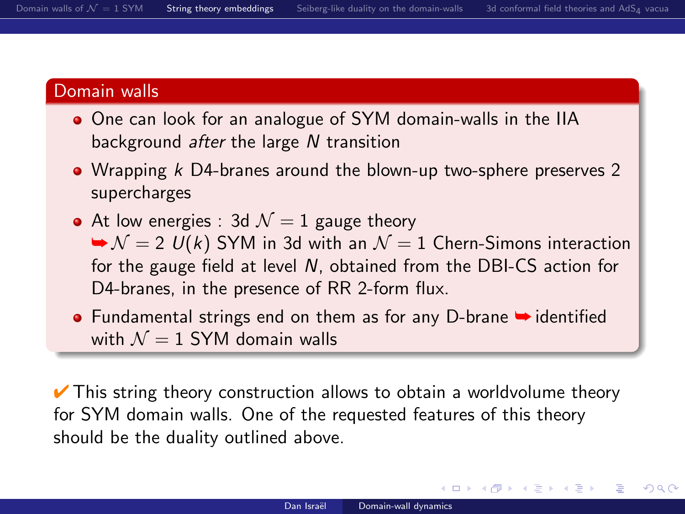#### Domain walls

- One can look for an analogue of SYM domain-walls in the IIA background after the large N transition
- Wrapping *k* D4-branes around the blown-up two-sphere preserves 2 supercharges
- At low energies : 3d  $\mathcal{N}=1$  gauge theory  $\rightarrow$  N = 2 U(k) SYM in 3d with an  $\mathcal{N} = 1$  Chern-Simons interaction for the gauge field at level N, obtained from the DBI-CS action for D4-branes, in the presence of RR 2-form flux.
- Fundamental strings end on them as for any D-brane → identified with  $\mathcal{N} = 1$  SYM domain walls

 $\vee$  This string theory construction allows to obtain a worldvolume theory for SYM domain walls. One of the requested features of this theory should be the duality outlined above.

イロト イ押ト イヨト イヨト

目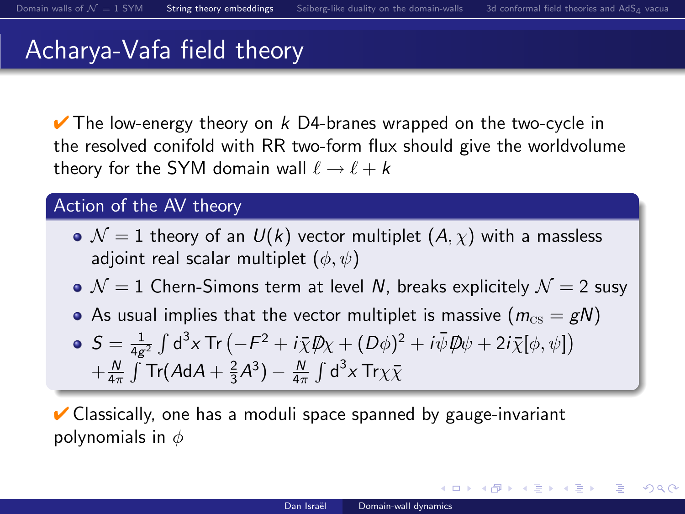メロト メ都 トメ き トメ き トー き

 $299$ 

## Acharya-Vafa field theory

 $\vee$  The low-energy theory on k D4-branes wrapped on the two-cycle in the resolved conifold with RR two-form flux should give the worldvolume theory for the SYM domain wall  $\ell \to \ell + k$ 

#### Action of the AV theory

- $\bullet$   $\mathcal{N}=1$  theory of an  $U(k)$  vector multiplet  $(A, \chi)$  with a massless adjoint real scalar multiplet  $(\phi, \psi)$
- $\bullet$   $\mathcal{N}=1$  Chern-Simons term at level N, breaks explicitely  $\mathcal{N}=2$  susy
- As usual implies that the vector multiplet is massive  $(m_{\text{cs}} = gN)$

$$
\begin{array}{l}\n\bullet \quad S = \frac{1}{4g^2} \int d^3x \operatorname{Tr} \left( -F^2 + i\overline{\chi} \not{D} \chi + (D\phi)^2 + i\overline{\psi} \not{D} \psi + 2i \overline{\chi} [\phi, \psi] \right) \\
+ \frac{N}{4\pi} \int \operatorname{Tr} (A dA + \frac{2}{3} A^3) - \frac{N}{4\pi} \int d^3x \operatorname{Tr} \chi \overline{\chi}\n\end{array}
$$

 $\vee$  Classically, one has a moduli space spanned by gauge-invariant polynomials in  $\phi$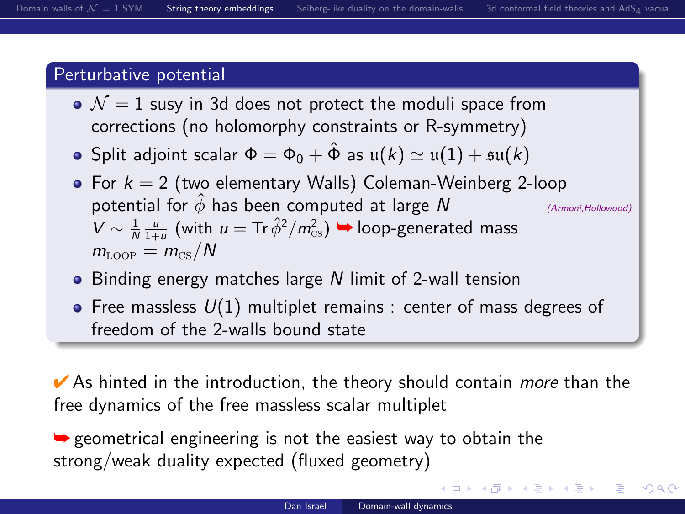#### Perturbative potential

- $\bullet$   $\mathcal{N}=1$  susy in 3d does not protect the moduli space from corrections (no holomorphy constraints or R-symmetry)
- **•** Split adjoint scalar  $\Phi = \Phi_0 + \hat{\Phi}$  as  $\mu(k) \simeq \mu(1) + \mathfrak{su}(k)$
- For  $k = 2$  (two elementary Walls) Coleman-Weinberg 2-loop potential for  $\hat{\phi}$  has been computed at large N (Armoni, Hollowood)  $V \sim \frac{1}{N} \frac{u}{1+u}$  (with  $u = \text{Tr} \hat{\phi}^2 / m_{\text{cs}}^2$ )  $\blacktriangleright$  loop-generated mass  $m_{\text{LOOP}} = m_{\text{CS}}/N$
- $\bullet$  Binding energy matches large N limit of 2-wall tension
- Free massless  $U(1)$  multiplet remains : center of mass degrees of freedom of the 2-walls bound state

 $\vee$  As hinted in the introduction, the theory should contain *more* than the free dynamics of the free massless scalar multiplet

 $\rightarrow$  geometrical engineering is not the easiest way to obtain the strong/weak duality expected (fluxed geometry)

(ロ) (個) (目) (美) (目)

<span id="page-10-0"></span>目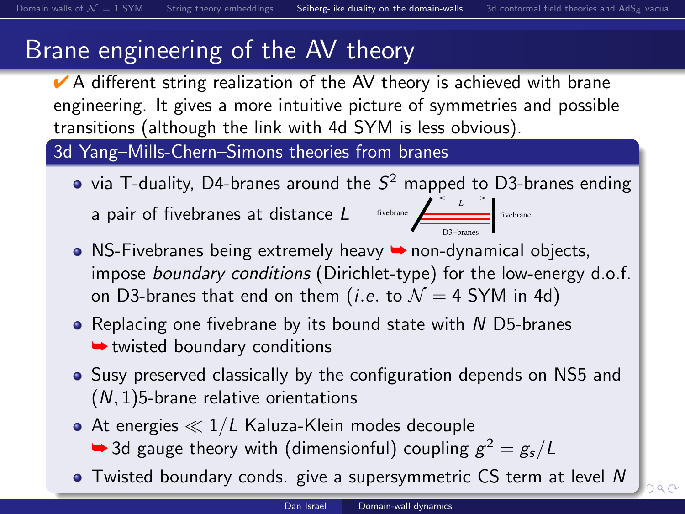<span id="page-11-0"></span>nac

# Brane engineering of the AV theory

 $\vee$  A different string realization of the AV theory is achieved with brane engineering. It gives a more intuitive picture of symmetries and possible transitions (although the link with 4d SYM is less obvious).

3d Yang–Mills-Chern–Simons theories from branes

- via T-duality, D4-branes around the  $\mathcal{S}^2$  mapped to D3-branes ending a pair of fivebranes at distance  $L$  sivebrane fivebrane **f**ivebrane **f**ivebrane
- $\bullet$  NS-Fivebranes being extremely heavy  $\bullet$  non-dynamical objects, impose boundary conditions (Dirichlet-type) for the low-energy d.o.f. on D3-branes that end on them (*i.e.* to  $\mathcal{N} = 4$  SYM in 4d)
- Replacing one fivebrane by its bound state with  $N$  D5-branes **►** twisted boundary conditions
- Susy preserved classically by the configuration depends on NS5 and  $(N, 1)$ 5-brane relative orientations
- $\bullet$  At energies  $\ll 1/L$  Kaluza-Klein modes decouple  $\rightarrow$  3d gauge theory with (dimensionful) coupling  $g^2 = g_s/L$
- Twisted boundary conds. give a supersym[met](#page-10-0)ri[c](#page-12-0) [C](#page-10-0)[S](#page-11-0) [te](#page-12-0)[r](#page-10-0)[m](#page-11-0) [a](#page-20-0)[t](#page-10-0) [le](#page-11-0)[v](#page-19-0)[el](#page-20-0) [N](#page-23-0)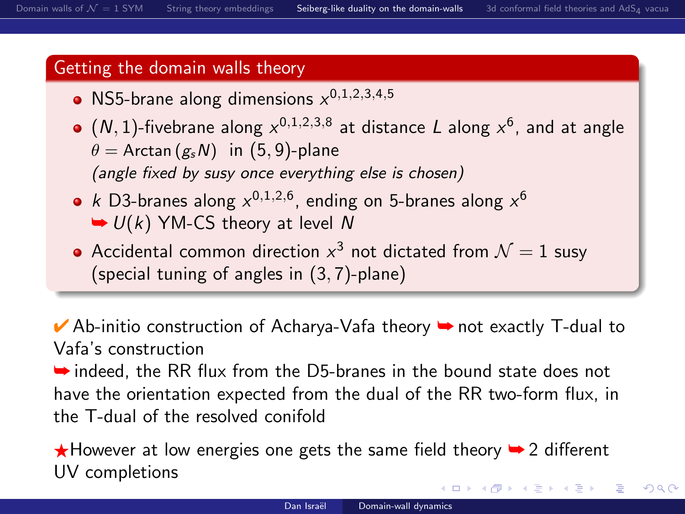<span id="page-12-0"></span> $QQ$ 

### Getting the domain walls theory

- NS5-brane along dimensions  $x^{0,1,2,3,4,5}$
- $(N, 1)$ -fivebrane along  $x^{0,1,2,3,8}$  at distance L along  $x^6$ , and at angle  $\theta =$  Arctan ( $g_s$ N) in (5,9)-plane (angle fixed by susy once everything else is chosen)
- k D3-branes along  $x^{0,1,2,6}$ , ending on 5-branes along  $x^6$  $\rightarrow U(k)$  YM-CS theory at level N
- Accidental common direction  $x^3$  not dictated from  $\mathcal{N}=1$  susy (special tuning of angles in (3, 7)-plane)

 $\blacktriangledown$  Ab-initio construction of Acharya-Vafa theory  $\blacktriangleright$  not exactly T-dual to Vafa's construction

 $\rightarrow$  indeed, the RR flux from the D5-branes in the bound state does not have the orientation expected from the dual of the RR two-form flux, in the T-dual of the resolved conifold

 $\star$ However at low energies one gets the same field theory  $\bullet$  2 different UV completions イロト イ押 トイヨ トイヨ トーヨー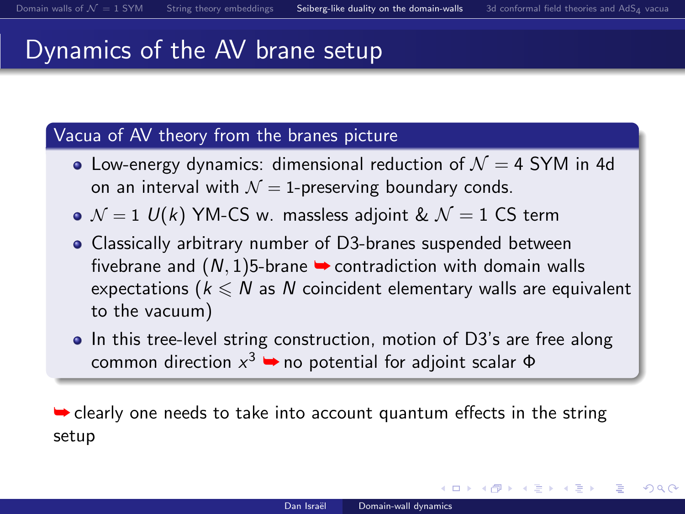メロメ メ都 メメ きょうぼまん

 $\equiv$ 

 $QQ$ 

## Dynamics of the AV brane setup

#### Vacua of AV theory from the branes picture

- Low-energy dynamics: dimensional reduction of  $\mathcal{N} = 4$  SYM in 4d on an interval with  $\mathcal{N} = 1$ -preserving boundary conds.
- $\bullet$   $\mathcal{N}=1$  U(k) YM-CS w. massless adjoint &  $\mathcal{N}=1$  CS term
- Classically arbitrary number of D3-branes suspended between fivebrane and  $(N, 1)$ 5-brane  $\rightarrow$  contradiction with domain walls expectations ( $k \leq N$  as N coincident elementary walls are equivalent to the vacuum)
- In this tree-level string construction, motion of D3's are free along common direction  $x^3 \rightarrow$  no potential for adjoint scalar  $\Phi$

 $\rightarrow$  clearly one needs to take into account quantum effects in the string setup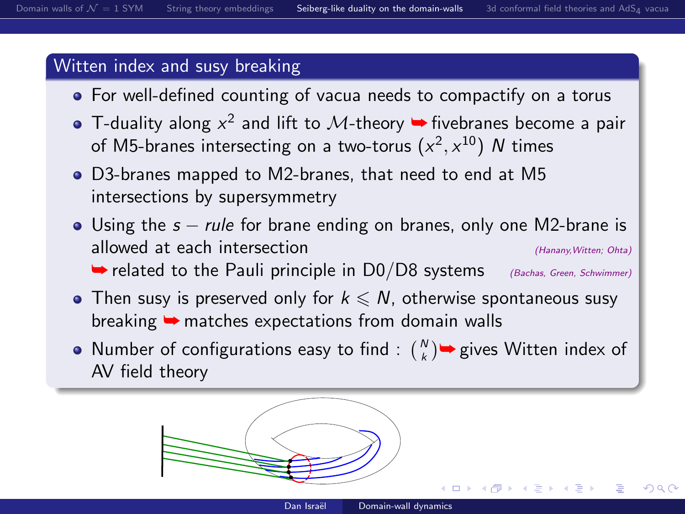$209$ 

#### Witten index and susy breaking

- For well-defined counting of vacua needs to compactify on a torus
- T-duality along  $x^2$  and lift to M-theory  $\blacktriangleright$  fivebranes become a pair of M5-branes intersecting on a two-torus  $(x^2, x^{10})$   $N$  times
- D3-branes mapped to M2-branes, that need to end at M5 intersections by supersymmetry
- Using the  $s$  rule for brane ending on branes, only one M2-brane is allowed at each intersection (Hanany, Witten; Ohta) **► related to the Pauli principle in D0/D8 systems** (Bachas, Green, Schwimmer)
- Then susy is preserved only for  $k \le N$ , otherwise spontaneous susy breaking ➥ matches expectations from domain walls
- Number of configurations easy to find :  $\binom{N}{k}$  wes Witten index of AV field theory



(□) (何)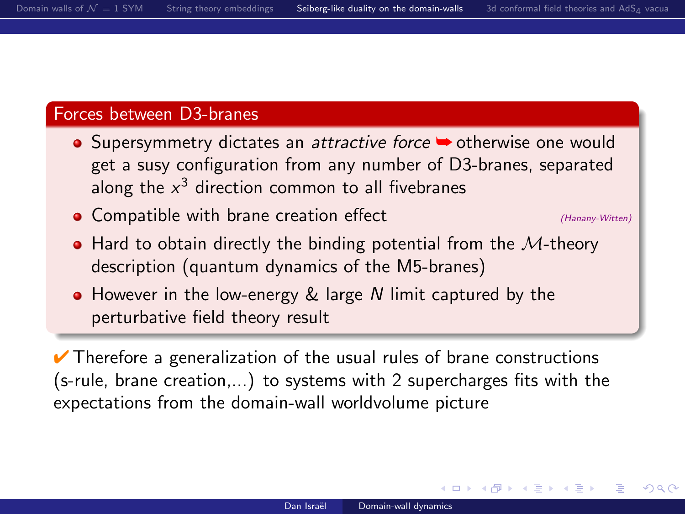#### Forces between D3-branes

- Supersymmetry dictates an *attractive force* ► otherwise one would get a susy configuration from any number of D3-branes, separated along the  $x^3$  direction common to all fivebranes
- Compatible with brane creation effect  $(H_{anany-Witten})$

 $209$ 

∢ ロ ⊁ ( 何 ) ( ミ ) ( ミ ) ( ニ )

- $\bullet$  Hard to obtain directly the binding potential from the M-theory description (quantum dynamics of the M5-branes)
- **•** However in the low-energy & large N limit captured by the perturbative field theory result

 $\vee$  Therefore a generalization of the usual rules of brane constructions (s-rule, brane creation,...) to systems with 2 supercharges fits with the expectations from the domain-wall worldvolume picture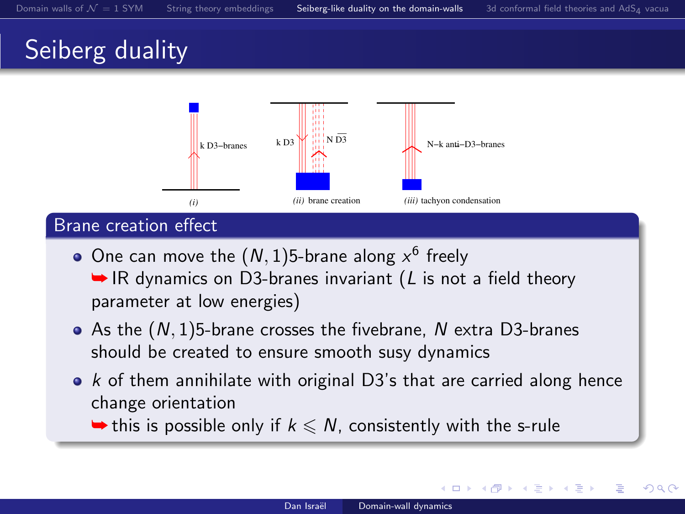# Seiberg duality



### Brane creation effect

One can move the  $(N,1)$ 5-brane along  $x^6$  freely  $\rightarrow$  IR dynamics on D3-branes invariant (L is not a field theory

parameter at low energies)

- $\bullet$  As the  $(N, 1)$ 5-brane crosses the fivebrane, N extra D3-branes should be created to ensure smooth susy dynamics
- $\bullet$  k of them annihilate with original D3's that are carried along hence change orientation

 $\rightarrow$  this is possible only if  $k \leq N$ , consistently with the s-rule

∢ロト (何) (ヨ) (ヨ)

 $209$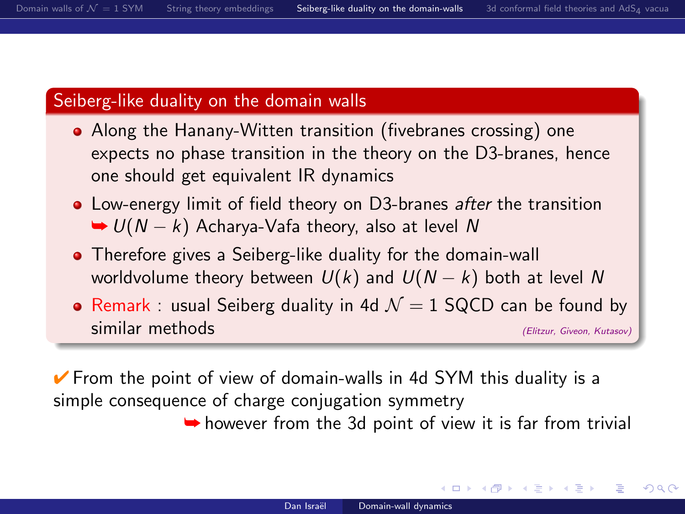#### Seiberg-like duality on the domain walls

- Along the Hanany-Witten transition (fivebranes crossing) one expects no phase transition in the theory on the D3-branes, hence one should get equivalent IR dynamics
- Low-energy limit of field theory on D3-branes after the transition  $\rightarrow$  U(N – k) Acharya-Vafa theory, also at level N
- Therefore gives a Seiberg-like duality for the domain-wall worldvolume theory between  $U(k)$  and  $U(N - k)$  both at level N
- Remark : usual Seiberg duality in 4d  $\mathcal{N}=1$  SQCD can be found by similar methods (Elitzur, Giveon, Kutasov)

 $\vee$  From the point of view of domain-walls in 4d SYM this duality is a simple consequence of charge conjugation symmetry

 $\rightarrow$  however from the 3d point of view it is far from trivial

∢ ロ ⊁ ( 何 ) ( ミ ) ( ミ ) 。

目

 $\Omega$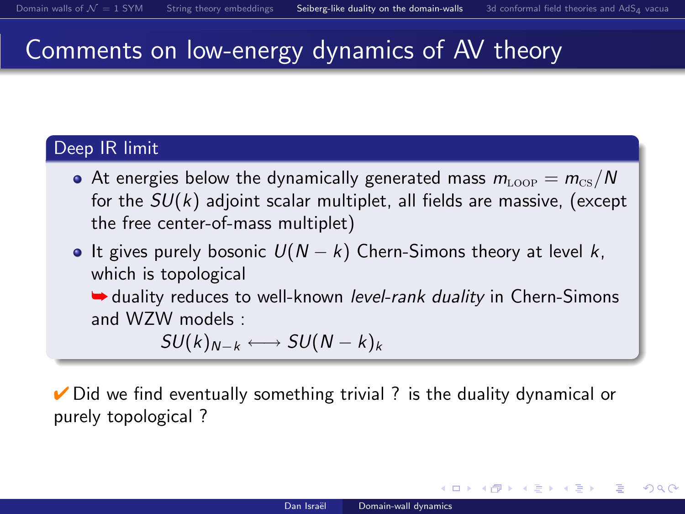K ロ ▶ K 個 ▶ K 君 ▶ K 君 ▶ ○君

 $\Omega$ 

# Comments on low-energy dynamics of AV theory

## Deep IR limit

- At energies below the dynamically generated mass  $m_{\text{LOOP}} = m_{\text{CS}}/N$ for the  $SU(k)$  adjoint scalar multiplet, all fields are massive, (except the free center-of-mass multiplet)
- It gives purely bosonic  $U(N k)$  Chern-Simons theory at level k, which is topological

 $\rightarrow$  duality reduces to well-known *level-rank duality* in Chern-Simons and WZW models :

 $SU(k)_{N-k} \longleftrightarrow SU(N-k)_k$ 

 $\vee$  Did we find eventually something trivial ? is the duality dynamical or purely topological ?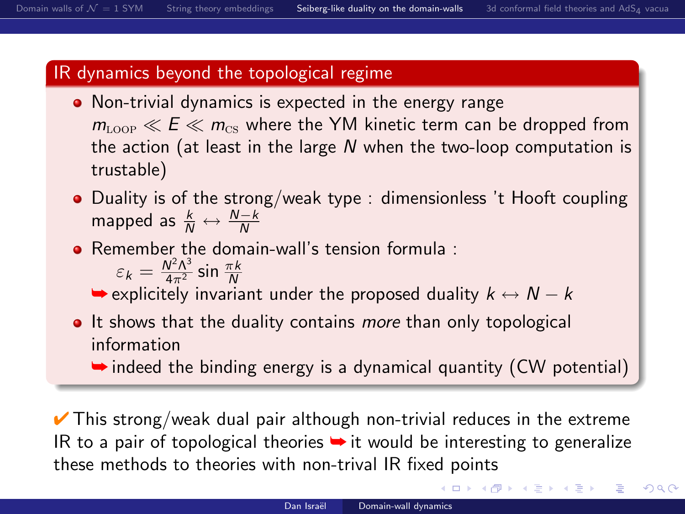#### IR dynamics beyond the topological regime

- Non-trivial dynamics is expected in the energy range  $m_{\text{LOOP}} \ll E \ll m_{\text{CS}}$  where the YM kinetic term can be dropped from the action (at least in the large  $N$  when the two-loop computation is trustable)
- Duality is of the strong/weak type : dimensionless 't Hooft coupling mapped as  $\frac{k}{N} \leftrightarrow \frac{N-k}{N}$
- Remember the domain-wall's tension formula:  $\varepsilon_k = \frac{N^2 \Lambda^3}{4 \pi^2} \sin \frac{\pi k}{N}$ 
	- $\rightarrow$  explicitely invariant under the proposed duality  $k \leftrightarrow N k$
- It shows that the duality contains more than only topological information
	- $\rightarrow$  indeed the binding energy is a dynamical quantity (CW potential)

 $\checkmark$  This strong/weak dual pair although non-trivial reduces in the extreme IR to a pair of topological theories  $\rightarrow$  it would be interesting to generalize these methods to theories with non-trival IR fixed points

<span id="page-19-0"></span>□ ▶ 《 ① ▶ 《 결 ▶ 《 결 ▶ 》 결…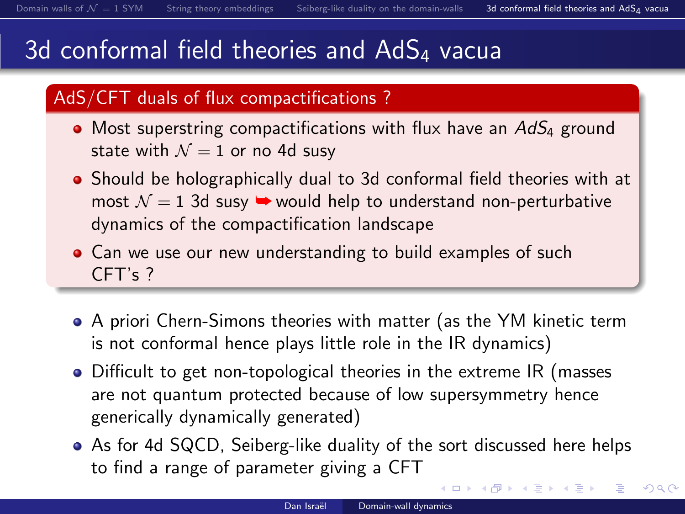## 3d conformal field theories and  $AdS<sub>4</sub>$  vacua

### AdS/CFT duals of flux compactifications ?

- Most superstring compactifications with flux have an  $AdS<sub>4</sub>$  ground state with  $\mathcal{N} = 1$  or no 4d susy
- Should be holographically dual to 3d conformal field theories with at most  $\mathcal{N} = 1$  3d susy  $\rightarrow$  would help to understand non-perturbative dynamics of the compactification landscape
- Can we use our new understanding to build examples of such  $CFT's$  ?
- A priori Chern-Simons theories with matter (as the YM kinetic term is not conformal hence plays little role in the IR dynamics)
- Difficult to get non-topological theories in the extreme IR (masses are not quantum protected because of low supersymmetry hence generically dynamically generated)
- As for 4d SQCD, Seiberg-like duality of the sort discussed here helps to find a range of parameter giving a CFT

イロメ イ何メ イヨメ イヨメ

<span id="page-20-0"></span>目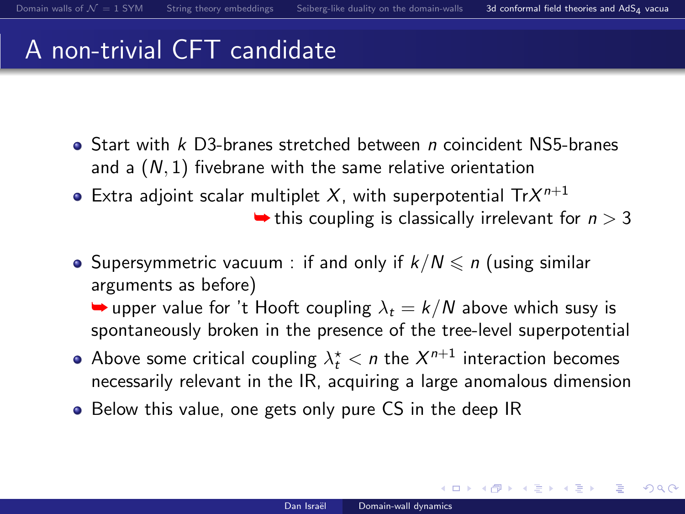## A non-trivial CFT candidate

- $\bullet$  Start with k D3-branes stretched between *n* coincident NS5-branes and a  $(N, 1)$  fivebrane with the same relative orientation
- Extra adjoint scalar multiplet X, with superpotential  $Tr X^{n+1}$

 $\rightarrow$  this coupling is classically irrelevant for  $n > 3$ 

イロメ イ押メ イヨメ イヨメー

G.

 $QQ$ 

• Supersymmetric vacuum : if and only if  $k/N \leq n$  (using similar arguments as before)

pupper value for 't Hooft coupling  $\lambda_t = k/N$  above which susy is spontaneously broken in the presence of the tree-level superpotential

- Above some critical coupling  $\lambda^\star_t < n$  the  $X^{n+1}$  interaction becomes necessarily relevant in the IR, acquiring a large anomalous dimension
- Below this value, one gets only pure CS in the deep IR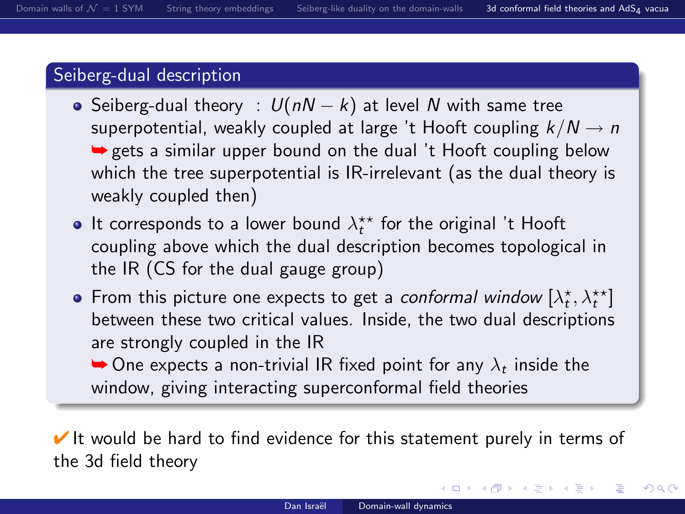#### Seiberg-dual description

- Seiberg-dual theory :  $U(nN k)$  at level N with same tree superpotential, weakly coupled at large 't Hooft coupling  $k/N \rightarrow n$  $\rightarrow$  gets a similar upper bound on the dual 't Hooft coupling below which the tree superpotential is IR-irrelevant (as the dual theory is weakly coupled then)
- It corresponds to a lower bound  $\lambda_t^{\star\star}$  for the original 't Hooft coupling above which the dual description becomes topological in the IR (CS for the dual gauge group)
- From this picture one expects to get a *conformal window*  $[\lambda_t^{\star}, \lambda_t^{\star \star}]$ between these two critical values. Inside, the two dual descriptions are strongly coupled in the IR

 $\rightarrow$  One expects a non-trivial IR fixed point for any  $\lambda_t$  inside the window, giving interacting superconformal field theories

 $\vee$  It would be hard to find evidence for this statement purely in terms of the 3d field theory

イロメ イ押メ イヨメ イヨメー

<span id="page-22-0"></span>目